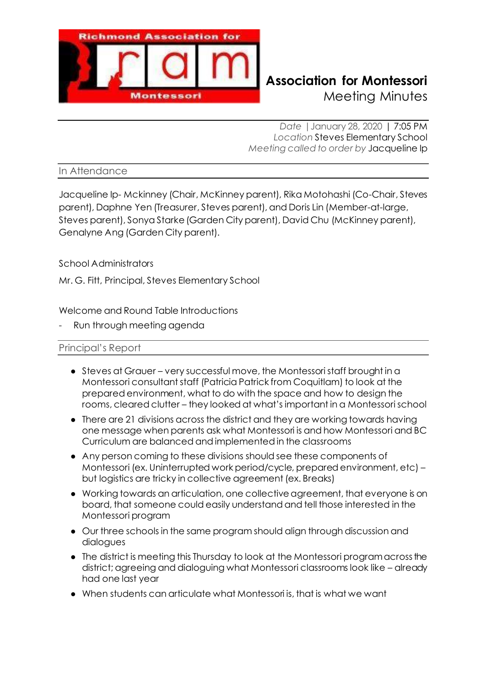

# **Richmond Association for Montessori** Meeting Minutes

*Date |*January 28, 2020 | 7:05 PM *Location* Steves Elementary School *Meeting called to order by* Jacqueline Ip

In Attendance

Jacqueline Ip- Mckinney (Chair, McKinney parent), Rika Motohashi (Co-Chair, Steves parent), Daphne Yen (Treasurer, Steves parent), and Doris Lin (Member-at-large, Steves parent), Sonya Starke (Garden City parent), David Chu (McKinney parent), Genalyne Ang (Garden City parent).

School Administrators

Mr. G. Fitt, Principal, Steves Elementary School

Welcome and Round Table Introductions

Run through meeting agenda

### Principal's Report

- Steves at Grauer very successful move, the Montessori staff brought in a Montessori consultant staff (Patricia Patrick from Coquitlam) to look at the prepared environment, what to do with the space and how to design the rooms, cleared clutter – they looked at what's important in a Montessori school
- There are 21 divisions across the district and they are working towards having one message when parents ask what Montessori is and how Montessori and BC Curriculum are balanced and implemented in the classrooms
- Any person coming to these divisions should see these components of Montessori (ex. Uninterrupted work period/cycle, prepared environment, etc) – but logistics are tricky in collective agreement (ex. Breaks)
- Working towards an articulation, one collective agreement, that everyone is on board, that someone could easily understand and tell those interested in the Montessori program
- Our three schools in the same program should align through discussion and dialogues
- The district is meeting this Thursday to look at the Montessori program across the district; agreeing and dialoguing what Montessori classrooms look like – already had one last year
- When students can articulate what Montessori is, that is what we want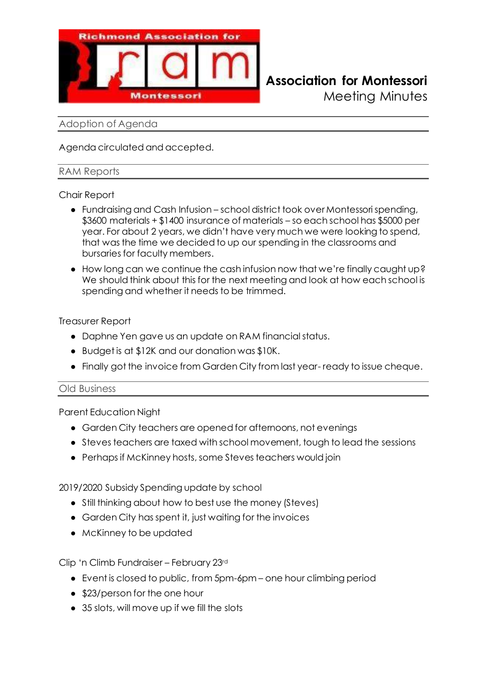

# **Richmond Association for Montessori**

Meeting Minutes

## Adoption of Agenda

Agenda circulated and accepted.

# RAM Reports

# Chair Report

- Fundraising and Cash Infusion school district took over Montessori spending, \$3600 materials + \$1400 insurance of materials – so each school has \$5000 per year. For about 2 years, we didn't have very much we were looking to spend, that was the time we decided to up our spending in the classrooms and bursaries for faculty members.
- How long can we continue the cash infusion now that we're finally caught up? We should think about this for the next meeting and look at how each school is spending and whether it needs to be trimmed.

# Treasurer Report

- Daphne Yen gave us an update on RAM financial status.
- Budget is at \$12K and our donation was \$10K.
- Finally got the invoice from Garden City from last year- ready to issue cheque.

### Old Business

Parent Education Night

- Garden City teachers are opened for afternoons, not evenings
- Steves teachers are taxed with school movement, tough to lead the sessions
- Perhaps if McKinney hosts, some Steves teachers would join

2019/2020 Subsidy Spending update by school

- Still thinking about how to best use the money (Steves)
- Garden City has spent it, just waiting for the invoices
- McKinney to be updated

Clip 'n Climb Fundraiser – February 23rd

- Event is closed to public, from 5pm-6pm one hour climbing period
- \$23/person for the one hour
- 35 slots, will move up if we fill the slots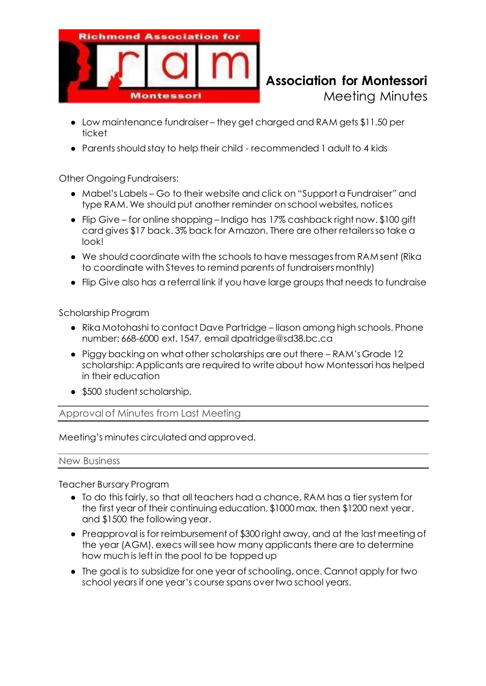

# **Richmond Association for Montessori** Meeting Minutes

- Low maintenance fundraiser they get charged and RAM gets \$11.50 per ticket
- Parents should stay to help their child recommended 1 adult to 4 kids

Other Ongoing Fundraisers:

- Mabel's Labels Go to their website and click on "Support a Fundraiser" and type RAM. We should put another reminder on school websites, notices
- Flip Give for online shopping Indigo has 17% cashback right now. \$100 gift card gives \$17 back. 3% back for Amazon. There are other retailers so take a look!
- We should coordinate with the schools to have messages from RAM sent (Rika to coordinate with Steves to remind parents of fundraisers monthly)
- Flip Give also has a referral link if you have large groups that needs to fundraise

Scholarship Program

- Rika Motohashi to contact Dave Partridge liason among high schools. Phone number: 668-6000 ext. 1547, email dpatridge@sd38.bc.ca
- Piggy backing on what other scholarships are out there RAM's Grade 12 scholarship: Applicants are required to write about how Montessori has helped in their education
- \$500 student scholarship.

Approval of Minutes from Last Meeting

Meeting's minutes circulated and approved.

New Business

Teacher Bursary Program

- To do this fairly, so that all teachers had a chance, RAM has a tier system for the first year of their continuing education, \$1000 max, then \$1200 next year, and \$1500 the following year.
- Preapproval is for reimbursement of \$300 right away, and at the last meeting of the year (AGM), execs will see how many applicants there are to determine how much is left in the pool to be topped up
- The goal is to subsidize for one year of schooling, once. Cannot apply for two school years if one year's course spans over two school years.